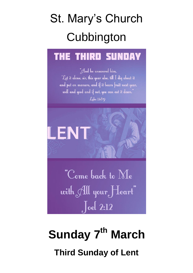# St. Mary's Church **Cubbington**

## **THE THIRD SUNDAY**

"And he answered him, *Let it alone, sir, this year also, till I diq about it* and put on manure, and if it bears fruit next year, well and good and if not, you can cut it down." Luke 13:80



"Come back to  $\rm{M_{\rm \ell}}$ with All your Heart"  $\int$ oel 2:12

## **Sunday 7 th March Third Sunday of Lent**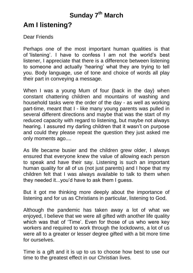### **Sunday 7 th March**

### **Am I listening?**

Dear Friends

Perhaps one of the most important human qualities is that of 'listening'. I have to confess I am not the world's best listener, I appreciate that there is a difference between listening to someone and actually 'hearing' what they are trying to tell you. Body language, use of tone and choice of words all play their part in conveying a message.

When I was a young Mum of four (back in the day) when constant chattering children and mountains of washing and household tasks were the order of the day - as well as working part-time, meant that I - like many young parents was pulled in several different directions and maybe that was the start of my reduced capacity with regard to listening, but maybe not always hearing. I assured my darling children that it wasn't on purpose and could they please repeat the question they just asked me only moments ago....

As life became busier and the children grew older, I always ensured that everyone knew the value of allowing each person to speak and have their say. Listening is such an important human quality for all of us (not just parents) and I hope that my children felt that I was always available to talk to them when they needed it...you'd have to ask them I guess.

But it got me thinking more deeply about the importance of listening and for us as Christians in particular, listening to God.

Although the pandemic has taken away a lot of what we enjoyed, I believe that we were all gifted with another life quality which was that of 'Time'. Even for those of us who were key workers and required to work through the lockdowns, a lot of us were all to a greater or lesser degree gifted with a bit more time for ourselves.

Time is a gift and it is up to us to choose how best to use our time to the greatest effect in our Christian lives.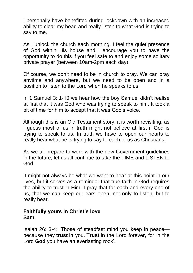I personally have benefitted during lockdown with an increased ability to clear my head and really listen to what God is trying to say to me.

As I unlock the church each morning, I feel the quiet presence of God within His house and I encourage you to have the opportunity to do this if you feel safe to and enjoy some solitary private prayer (between 10am-2pm each day).

Of course, we don't need to be in church to pray. We can pray anytime and anywhere, but we need to be open and in a position to listen to the Lord when he speaks to us.

In 1 Samuel 3: 1-10 we hear how the boy Samuel didn't realise at first that it was God who was trying to speak to him. It took a bit of time for him to accept that it was God's voice.

Although this is an Old Testament story, it is worth revisiting, as I guess most of us in truth might not believe at first if God is trying to speak to us. In truth we have to open our hearts to really hear what he is trying to say to each of us as Christians.

As we all prepare to work with the new Government guidelines in the future, let us all continue to take the TIME and LISTEN to God.

It might not always be what we want to hear at this point in our lives, but it serves as a reminder that true faith in God requires the ability to trust in Him. I pray that for each and every one of us, that we can keep our ears open, not only to listen, but to really hear.

#### **Faithfully yours in Christ's love Sam**.

Isaiah 26: 3-4: 'Those of steadfast mind you keep in peace because they **trust** in you. **Trust** in the Lord forever, for in the Lord **God** you have an everlasting rock'.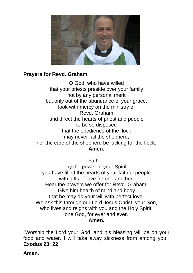

#### **Prayers for Revd. Graham**

O God, who have willed that your priests preside over your family not by any personal merit but only out of the abundance of your grace, look with mercy on the ministry of Revd. Graham and direct the hearts of priest and people to be so disposed that the obedience of the flock may never fail the shepherd, nor the care of the shepherd be lacking for the flock*.* **Amen.**

Father,

by the power of your Spirit you have filled the hearts of your faithful people with gifts of love for one another. Hear the prayers we offer for Revd. Graham. Give him health of mind and body that he may do your will with perfect love. We ask this through our Lord Jesus Christ, your Son, who lives and reigns with you and the Holy Spirit, one God, for ever and ever. **Amen.**

"Worship the Lord your God, and his blessing will be on your food and water. I will take away sickness from among you." **Exodus 23: 22**

**Amen.**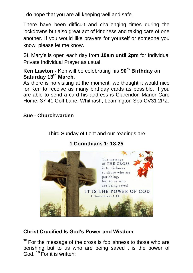I do hope that you are all keeping well and safe.

There have been difficult and challenging times during the lockdowns but also great act of kindness and taking care of one another. If you would like prayers for yourself or someone you know, please let me know.

St. Mary's is open each day from **10am until 2pm** for Individual Private Individual Prayer as usual.

**Ken Lawton -** Ken will be celebrating his **90th Birthday** on **Saturday 13th March**.

As there is no visiting at the moment, we thought it would nice for Ken to receive as many birthday cards as possible. If you are able to send a card his address is Clarendon Manor Care Home, 37-41 Golf Lane, Whitnash, Leamington Spa CV31 2PZ.

#### **Sue - Churchwarden**

Third Sunday of Lent and our readings are

#### **1 Corinthians 1: 18-25**



#### **Christ Crucified Is God's Power and Wisdom**

**<sup>18</sup>** For the message of the cross is foolishness to those who are perishing, but to us who are being saved it is the power of God. **<sup>19</sup>** For it is written: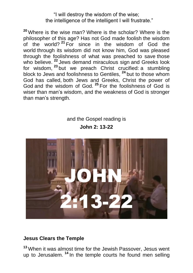#### "I will destroy the wisdom of the wise; the intelligence of the intelligent I will frustrate."

**<sup>20</sup>** Where is the wise man? Where is the scholar? Where is the philosopher of this age? Has not God made foolish the wisdom of the world? **<sup>21</sup>** For since in the wisdom of God the world through its wisdom did not know him, God was pleased through the foolishness of what was preached to save those who believe. <sup>22</sup> Jews demand miraculous sign and Greeks look for wisdom, **<sup>23</sup>** but we preach Christ crucified: a stumbling block to Jews and foolishness to Gentiles, **<sup>24</sup>** but to those whom God has called, both Jews and Greeks, Christ the power of God and the wisdom of God. **<sup>25</sup>** For the foolishness of God is wiser than man's wisdom, and the weakness of God is stronger than man's strength.

#### and the Gospel reading is **John 2: 13-22**



#### **Jesus Clears the Temple**

**<sup>13</sup>** When it was almost time for the Jewish Passover, Jesus went up to Jerusalem. **<sup>14</sup>** In the temple courts he found men selling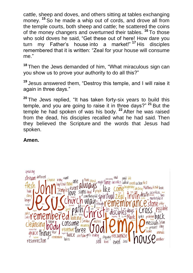cattle, sheep and doves, and others sitting at tables exchanging money. **<sup>15</sup>** So he made a whip out of cords, and drove all from the temple courts, both sheep and cattle; he scattered the coins of the money changers and overturned their tables. **<sup>16</sup>** To those who sold doves he said, "Get these out of here! How dare you turn my Father's house into a market!" **<sup>17</sup>** His disciples remembered that it is written: "Zeal for your house will consume me."

**<sup>18</sup>** Then the Jews demanded of him, "What miraculous sign can you show us to prove your authority to do all this?"

**<sup>19</sup>** Jesus answered them, "Destroy this temple, and I will raise it again in three days."

**<sup>20</sup>** The Jews replied, "It has taken forty-six years to build this temple, and you are going to raise it in three days?" **<sup>21</sup>** But the temple he had spoken of was his body. **<sup>22</sup>** After he was raised from the dead, his disciples recalled what he had said. Then they believed the Scripture and the words that Jesus had spoken.

#### **Amen.**